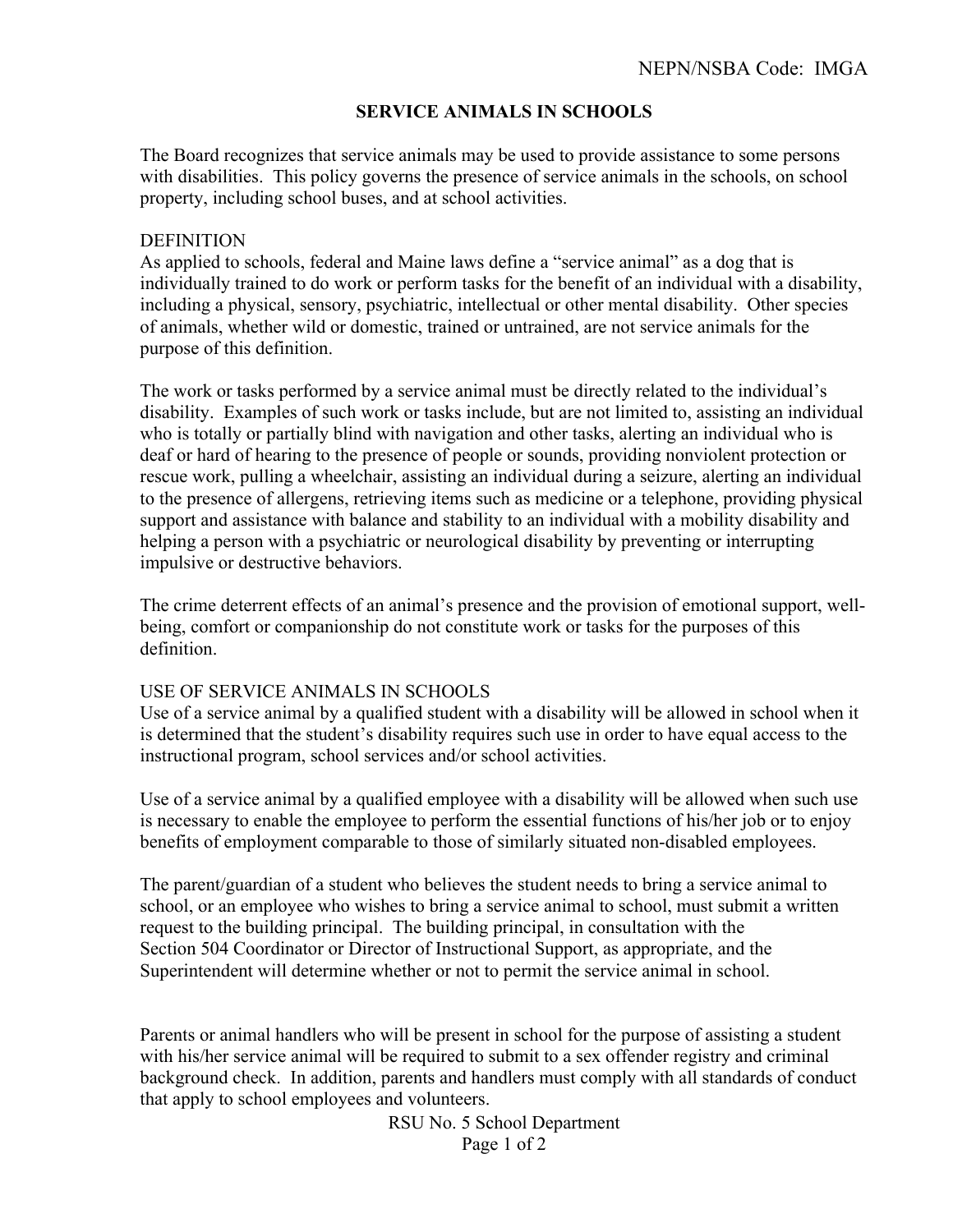## **SERVICE ANIMALS IN SCHOOLS**

The Board recognizes that service animals may be used to provide assistance to some persons with disabilities. This policy governs the presence of service animals in the schools, on school property, including school buses, and at school activities.

## DEFINITION

As applied to schools, federal and Maine laws define a "service animal" as a dog that is individually trained to do work or perform tasks for the benefit of an individual with a disability, including a physical, sensory, psychiatric, intellectual or other mental disability. Other species of animals, whether wild or domestic, trained or untrained, are not service animals for the purpose of this definition.

The work or tasks performed by a service animal must be directly related to the individual's disability. Examples of such work or tasks include, but are not limited to, assisting an individual who is totally or partially blind with navigation and other tasks, alerting an individual who is deaf or hard of hearing to the presence of people or sounds, providing nonviolent protection or rescue work, pulling a wheelchair, assisting an individual during a seizure, alerting an individual to the presence of allergens, retrieving items such as medicine or a telephone, providing physical support and assistance with balance and stability to an individual with a mobility disability and helping a person with a psychiatric or neurological disability by preventing or interrupting impulsive or destructive behaviors.

The crime deterrent effects of an animal's presence and the provision of emotional support, wellbeing, comfort or companionship do not constitute work or tasks for the purposes of this definition.

## USE OF SERVICE ANIMALS IN SCHOOLS

Use of a service animal by a qualified student with a disability will be allowed in school when it is determined that the student's disability requires such use in order to have equal access to the instructional program, school services and/or school activities.

Use of a service animal by a qualified employee with a disability will be allowed when such use is necessary to enable the employee to perform the essential functions of his/her job or to enjoy benefits of employment comparable to those of similarly situated non-disabled employees.

The parent/guardian of a student who believes the student needs to bring a service animal to school, or an employee who wishes to bring a service animal to school, must submit a written request to the building principal. The building principal, in consultation with the Section 504 Coordinator or Director of Instructional Support, as appropriate, and the Superintendent will determine whether or not to permit the service animal in school.

Parents or animal handlers who will be present in school for the purpose of assisting a student with his/her service animal will be required to submit to a sex offender registry and criminal background check. In addition, parents and handlers must comply with all standards of conduct that apply to school employees and volunteers.

> RSU No. 5 School Department Page 1 of 2